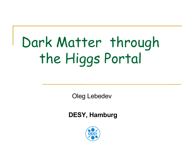# Dark Matter through the Higgs Portal

Oleg Lebedev

**DESY, Hamburg**

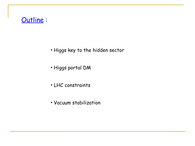#### Outline :

- Higgs key to the hidden sector
- Higgs portal DM
- LHC constraints
- Vacuum stabilization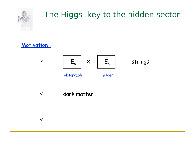

## The Higgs key to the hidden sector

Motivation :



 $\checkmark$  dark matter

…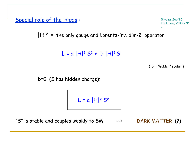Special role of the Higgs:

Silveira, Zee '85 Foot, Lew, Volkas '91

 $|H|^2$  = the only gauge and Lorentz-inv. dim-2 operator

L = a |H|<sup>2</sup> S2 + b |H|2 S

( S = "hidden" scalar )

...

b=0 (S has hidden charge):

 $L = a |H|^2 S^2$ 

"S" is stable and couples weakly to SM --> DARK MATTER (?)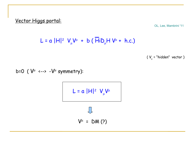Vector Higgs portal:

OL, Lee, Mambrini '11

$$
L = \alpha |H|^2 V_\mu V^\mu + b (HiD_\mu H V^\mu + h.c.)
$$

( V<sub>µ</sub> = "hidden" vector )

b=0 (  $V^{\mu}$  <--> - $V^{\mu}$  symmetry):

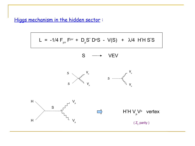Higgs mechanism in the hidden sector :

$$
L = -1/4 F_{\mu\nu} F^{\mu\nu} + D_{\mu} S^* D^{\mu} S - V(S) + \lambda/4 H^* H S^* S
$$

$$
S \quad \longrightarrow \quad VEV
$$





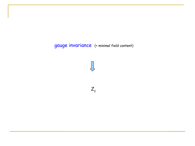#### gauge invariance (+ minimal field content)

 $Z_{2}$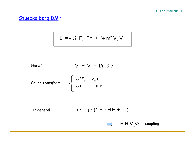#### Stueckelberg DM :

$$
L = -\frac{1}{4} F_{\mu\nu} F^{\mu\nu} + \frac{1}{2} m^2 V_{\mu} V^{\mu}
$$

Here: 
$$
V_v = V_v + 1/\mu \partial_v \phi
$$

Gauge transform:

$$
\delta V'_{v} = \partial_{v} \varepsilon
$$

$$
\delta \phi = - \mu \varepsilon
$$

In general :  $= \mu^2 (1 + c H^*H + ... )$ 

 $\mathsf{H}^\ast\mathsf{H} \mathsf{V}_\mu\mathsf{V}^\mu$  coupling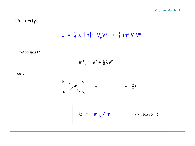#### Unitarity:

$$
L = \frac{1}{4} \lambda |H|^2 V_{\mu} V^{\mu} + \frac{1}{2} m^2 V_{\mu} V^{\mu}
$$

Physical mass :

$$
m^2_V = m^2 + \frac{1}{2}\lambda V^2
$$

Cutoff :

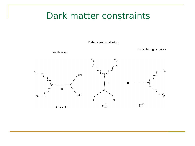### Dark matter constraints

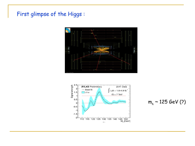#### First glimpse of the Higgs :





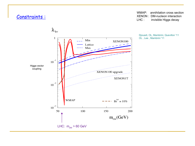#### Constraints :

WMAP: annihilation cross section XENON : DM-nucleon interaction LHC : invisible Higgs decay



Djouadi, OL, Mambrini, Quevillon '11 OL , Lee , Mambrini '11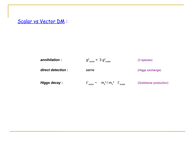#### Scalar vs Vector DM :

| annihilation :     | $g_{\text{vector}}^2$ = 3 $g_{\text{scalar}}^2$                    | (3 species)            |
|--------------------|--------------------------------------------------------------------|------------------------|
| direct detection : | same                                                               | (Higgs exchange)       |
| Higgs decay :      | $\Gamma_{\text{vector}} \sim m_h^4 / m_v^4 \Gamma_{\text{scalar}}$ | (Goldstone production) |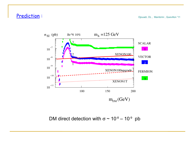#### Prediction :

Djouadi, OL , Mambrini , Quevillon '11



DM direct detection with  $\sigma \sim 10^{-8} - 10^{-9}$  pb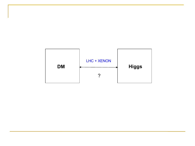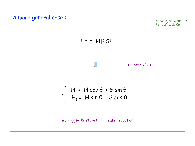

Schabinger, Wells '05 Patt, Wilczek '06





$$
\begin{cases} H_1 = H \cos \theta + S \sin \theta \\ H_2 = H \sin \theta - S \cos \theta \end{cases}
$$

two Higgs-like states , rate reduction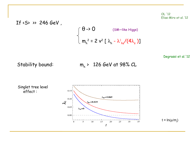OL '12 Elias-Miro et al. '12

If 
$$
\langle S \rangle
$$
  $\rangle$  246 GeV,  
\n
$$
\begin{cases}\n\theta \rightarrow 0 & (\text{SM-like Higgs}) \\
m_h^2 = 2 v^2 [\lambda_h - \lambda_{hs}^2/(4\lambda_s)]\n\end{cases}
$$
\n
$$
\text{Degrassi et al. '12}
$$
\nStability bound:

\n
$$
m_h \rightarrow 126 \text{ GeV at 98\% CL}
$$

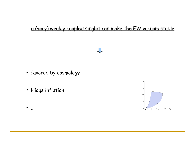#### a (very) weakly coupled singlet can make the EW vacuum stable



 $\bigcup$ 

- favored by cosmology
- Higgs inflation

• ...